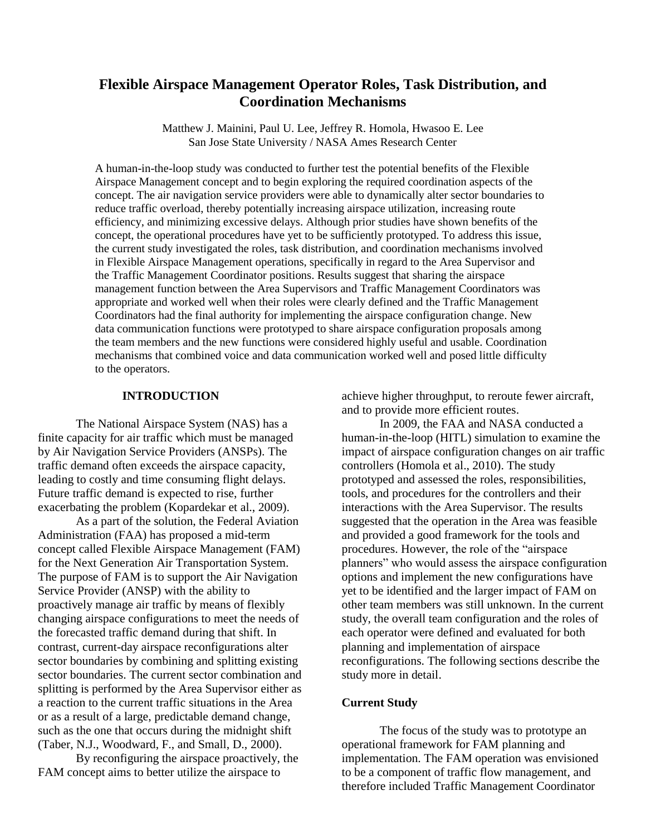# **Flexible Airspace Management Operator Roles, Task Distribution, and Coordination Mechanisms**

Matthew J. Mainini, Paul U. Lee, Jeffrey R. Homola, Hwasoo E. Lee San Jose State University / NASA Ames Research Center

A human-in-the-loop study was conducted to further test the potential benefits of the Flexible Airspace Management concept and to begin exploring the required coordination aspects of the concept. The air navigation service providers were able to dynamically alter sector boundaries to reduce traffic overload, thereby potentially increasing airspace utilization, increasing route efficiency, and minimizing excessive delays. Although prior studies have shown benefits of the concept, the operational procedures have yet to be sufficiently prototyped. To address this issue, the current study investigated the roles, task distribution, and coordination mechanisms involved in Flexible Airspace Management operations, specifically in regard to the Area Supervisor and the Traffic Management Coordinator positions. Results suggest that sharing the airspace management function between the Area Supervisors and Traffic Management Coordinators was appropriate and worked well when their roles were clearly defined and the Traffic Management Coordinators had the final authority for implementing the airspace configuration change. New data communication functions were prototyped to share airspace configuration proposals among the team members and the new functions were considered highly useful and usable. Coordination mechanisms that combined voice and data communication worked well and posed little difficulty to the operators.

# **INTRODUCTION**

The National Airspace System (NAS) has a finite capacity for air traffic which must be managed by Air Navigation Service Providers (ANSPs). The traffic demand often exceeds the airspace capacity, leading to costly and time consuming flight delays. Future traffic demand is expected to rise, further exacerbating the problem (Kopardekar et al., 2009).

As a part of the solution, the Federal Aviation Administration (FAA) has proposed a mid-term concept called Flexible Airspace Management (FAM) for the Next Generation Air Transportation System. The purpose of FAM is to support the Air Navigation Service Provider (ANSP) with the ability to proactively manage air traffic by means of flexibly changing airspace configurations to meet the needs of the forecasted traffic demand during that shift. In contrast, current-day airspace reconfigurations alter sector boundaries by combining and splitting existing sector boundaries. The current sector combination and splitting is performed by the Area Supervisor either as a reaction to the current traffic situations in the Area or as a result of a large, predictable demand change, such as the one that occurs during the midnight shift (Taber, N.J., Woodward, F., and Small, D., 2000).

By reconfiguring the airspace proactively, the FAM concept aims to better utilize the airspace to

achieve higher throughput, to reroute fewer aircraft, and to provide more efficient routes.

In 2009, the FAA and NASA conducted a human-in-the-loop (HITL) simulation to examine the impact of airspace configuration changes on air traffic controllers (Homola et al., 2010). The study prototyped and assessed the roles, responsibilities, tools, and procedures for the controllers and their interactions with the Area Supervisor. The results suggested that the operation in the Area was feasible and provided a good framework for the tools and procedures. However, the role of the "airspace planners" who would assess the airspace configuration options and implement the new configurations have yet to be identified and the larger impact of FAM on other team members was still unknown. In the current study, the overall team configuration and the roles of each operator were defined and evaluated for both planning and implementation of airspace reconfigurations. The following sections describe the study more in detail.

# **Current Study**

The focus of the study was to prototype an operational framework for FAM planning and implementation. The FAM operation was envisioned to be a component of traffic flow management, and therefore included Traffic Management Coordinator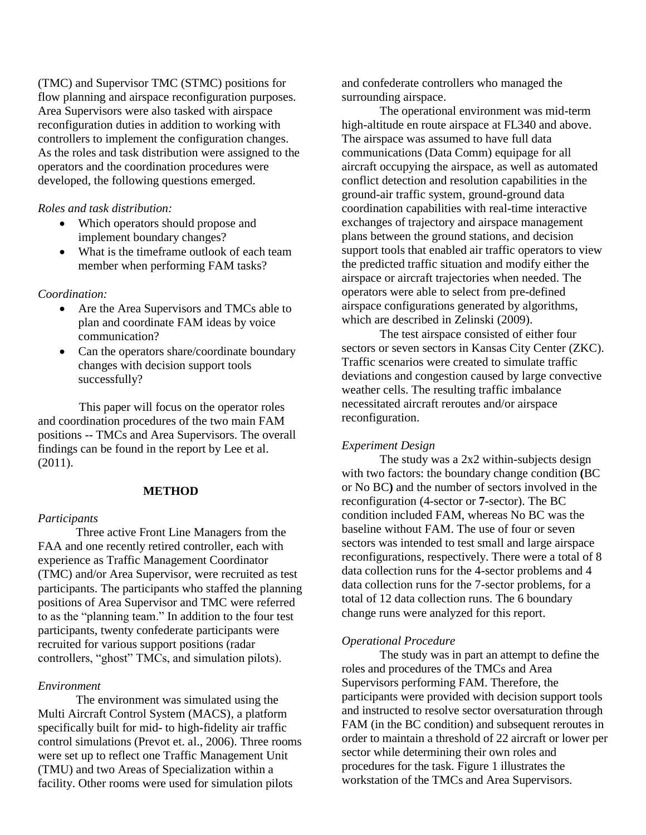(TMC) and Supervisor TMC (STMC) positions for flow planning and airspace reconfiguration purposes. Area Supervisors were also tasked with airspace reconfiguration duties in addition to working with controllers to implement the configuration changes. As the roles and task distribution were assigned to the operators and the coordination procedures were developed, the following questions emerged.

#### *Roles and task distribution:*

- Which operators should propose and implement boundary changes?
- What is the timeframe outlook of each team member when performing FAM tasks?

#### *Coordination:*

- Are the Area Supervisors and TMCs able to plan and coordinate FAM ideas by voice communication?
- Can the operators share/coordinate boundary changes with decision support tools successfully?

This paper will focus on the operator roles and coordination procedures of the two main FAM positions -- TMCs and Area Supervisors. The overall findings can be found in the report by Lee et al. (2011).

### **METHOD**

### *Participants*

Three active Front Line Managers from the FAA and one recently retired controller, each with experience as Traffic Management Coordinator (TMC) and/or Area Supervisor, were recruited as test participants. The participants who staffed the planning positions of Area Supervisor and TMC were referred to as the "planning team." In addition to the four test participants, twenty confederate participants were recruited for various support positions (radar controllers, "ghost" TMCs, and simulation pilots).

# *Environment*

The environment was simulated using the Multi Aircraft Control System (MACS), a platform specifically built for mid- to high-fidelity air traffic control simulations (Prevot et. al., 2006). Three rooms were set up to reflect one Traffic Management Unit (TMU) and two Areas of Specialization within a facility. Other rooms were used for simulation pilots

and confederate controllers who managed the surrounding airspace.

The operational environment was mid-term high-altitude en route airspace at FL340 and above. The airspace was assumed to have full data communications (Data Comm) equipage for all aircraft occupying the airspace, as well as automated conflict detection and resolution capabilities in the ground-air traffic system, ground-ground data coordination capabilities with real-time interactive exchanges of trajectory and airspace management plans between the ground stations, and decision support tools that enabled air traffic operators to view the predicted traffic situation and modify either the airspace or aircraft trajectories when needed. The operators were able to select from pre-defined airspace configurations generated by algorithms, which are described in Zelinski (2009).

The test airspace consisted of either four sectors or seven sectors in Kansas City Center (ZKC). Traffic scenarios were created to simulate traffic deviations and congestion caused by large convective weather cells. The resulting traffic imbalance necessitated aircraft reroutes and/or airspace reconfiguration.

#### *Experiment Design*

The study was a 2x2 within-subjects design with two factors: the boundary change condition **(**BC or No BC**)** and the number of sectors involved in the reconfiguration (4-sector or **7-**sector). The BC condition included FAM, whereas No BC was the baseline without FAM. The use of four or seven sectors was intended to test small and large airspace reconfigurations, respectively. There were a total of 8 data collection runs for the 4-sector problems and 4 data collection runs for the 7-sector problems, for a total of 12 data collection runs. The 6 boundary change runs were analyzed for this report.

#### *Operational Procedure*

The study was in part an attempt to define the roles and procedures of the TMCs and Area Supervisors performing FAM. Therefore, the participants were provided with decision support tools and instructed to resolve sector oversaturation through FAM (in the BC condition) and subsequent reroutes in order to maintain a threshold of 22 aircraft or lower per sector while determining their own roles and procedures for the task. [Figure 1](#page-2-0) illustrates the workstation of the TMCs and Area Supervisors.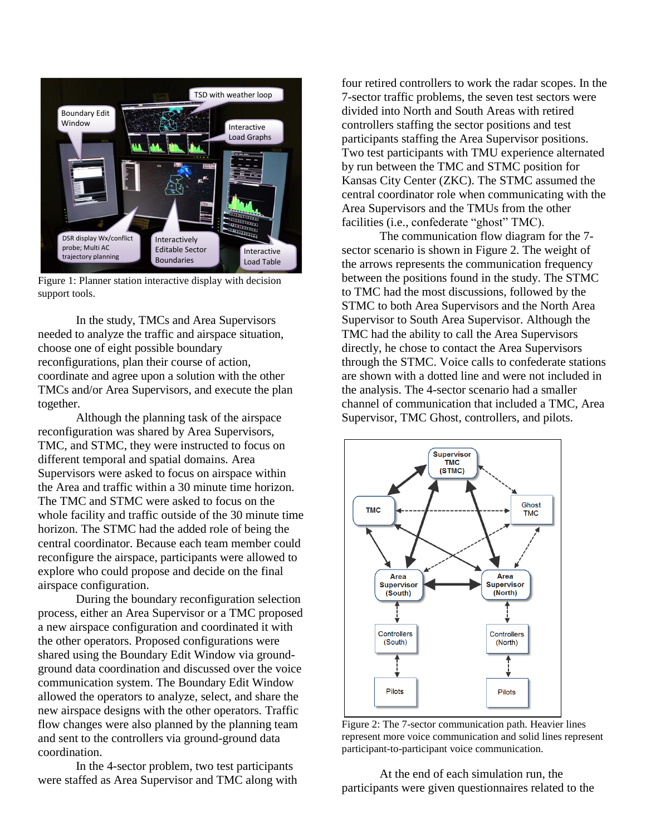

Figure 1: Planner station interactive display with decision support tools.

<span id="page-2-0"></span>In the study, TMCs and Area Supervisors needed to analyze the traffic and airspace situation, choose one of eight possible boundary reconfigurations, plan their course of action, coordinate and agree upon a solution with the other TMCs and/or Area Supervisors, and execute the plan together.

Although the planning task of the airspace reconfiguration was shared by Area Supervisors, TMC, and STMC, they were instructed to focus on different temporal and spatial domains. Area Supervisors were asked to focus on airspace within the Area and traffic within a 30 minute time horizon. The TMC and STMC were asked to focus on the whole facility and traffic outside of the 30 minute time horizon. The STMC had the added role of being the central coordinator. Because each team member could reconfigure the airspace, participants were allowed to explore who could propose and decide on the final airspace configuration.

During the boundary reconfiguration selection process, either an Area Supervisor or a TMC proposed a new airspace configuration and coordinated it with the other operators. Proposed configurations were shared using the Boundary Edit Window via groundground data coordination and discussed over the voice communication system. The Boundary Edit Window allowed the operators to analyze, select, and share the new airspace designs with the other operators. Traffic flow changes were also planned by the planning team and sent to the controllers via ground-ground data coordination.

In the 4-sector problem, two test participants were staffed as Area Supervisor and TMC along with four retired controllers to work the radar scopes. In the 7-sector traffic problems, the seven test sectors were divided into North and South Areas with retired controllers staffing the sector positions and test participants staffing the Area Supervisor positions. Two test participants with TMU experience alternated by run between the TMC and STMC position for Kansas City Center (ZKC). The STMC assumed the central coordinator role when communicating with the Area Supervisors and the TMUs from the other facilities (i.e., confederate "ghost" TMC).

The communication flow diagram for the 7 sector scenario is shown in [Figure 2.](#page-2-1) The weight of the arrows represents the communication frequency between the positions found in the study. The STMC to TMC had the most discussions, followed by the STMC to both Area Supervisors and the North Area Supervisor to South Area Supervisor. Although the TMC had the ability to call the Area Supervisors directly, he chose to contact the Area Supervisors through the STMC. Voice calls to confederate stations are shown with a dotted line and were not included in the analysis. The 4-sector scenario had a smaller channel of communication that included a TMC, Area Supervisor, TMC Ghost, controllers, and pilots.



<span id="page-2-1"></span>Figure 2: The 7-sector communication path. Heavier lines represent more voice communication and solid lines represent participant-to-participant voice communication.

At the end of each simulation run, the participants were given questionnaires related to the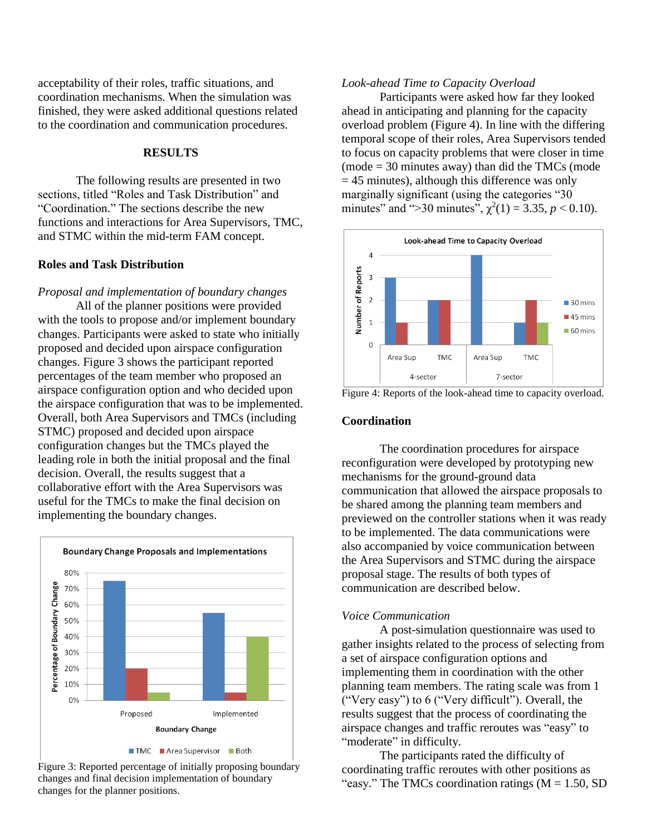acceptability of their roles, traffic situations, and coordination mechanisms. When the simulation was finished, they were asked additional questions related to the coordination and communication procedures.

# **RESULTS**

The following results are presented in two sections, titled "Roles and Task Distribution" and "Coordination." The sections describe the new functions and interactions for Area Supervisors, TMC, and STMC within the mid-term FAM concept.

# **Roles and Task Distribution**

*Proposal and implementation of boundary changes* All of the planner positions were provided with the tools to propose and/or implement boundary changes. Participants were asked to state who initially proposed and decided upon airspace configuration changes. [Figure 3](#page-3-0) shows the participant reported percentages of the team member who proposed an airspace configuration option and who decided upon the airspace configuration that was to be implemented. Overall, both Area Supervisors and TMCs (including STMC) proposed and decided upon airspace configuration changes but the TMCs played the leading role in both the initial proposal and the final decision. Overall, the results suggest that a collaborative effort with the Area Supervisors was useful for the TMCs to make the final decision on implementing the boundary changes.



<span id="page-3-0"></span>Figure 3: Reported percentage of initially proposing boundary changes and final decision implementation of boundary changes for the planner positions.

#### *Look-ahead Time to Capacity Overload*

Participants were asked how far they looked ahead in anticipating and planning for the capacity overload problem [\(Figure 4\)](#page-3-1). In line with the differing temporal scope of their roles, Area Supervisors tended to focus on capacity problems that were closer in time  $(mod = 30$  minutes away) than did the TMCs (mode  $= 45$  minutes), although this difference was only marginally significant (using the categories "30 minutes" and ">30 minutes",  $\chi^2(1) = 3.35, p < 0.10$ ).



<span id="page-3-1"></span>Figure 4: Reports of the look-ahead time to capacity overload.

# **Coordination**

The coordination procedures for airspace reconfiguration were developed by prototyping new mechanisms for the ground-ground data communication that allowed the airspace proposals to be shared among the planning team members and previewed on the controller stations when it was ready to be implemented. The data communications were also accompanied by voice communication between the Area Supervisors and STMC during the airspace proposal stage. The results of both types of communication are described below.

# *Voice Communication*

A post-simulation questionnaire was used to gather insights related to the process of selecting from a set of airspace configuration options and implementing them in coordination with the other planning team members. The rating scale was from 1 ("Very easy") to 6 ("Very difficult"). Overall, the results suggest that the process of coordinating the airspace changes and traffic reroutes was "easy" to "moderate" in difficulty.

The participants rated the difficulty of coordinating traffic reroutes with other positions as "easy." The TMCs coordination ratings  $(M = 1.50, SD)$